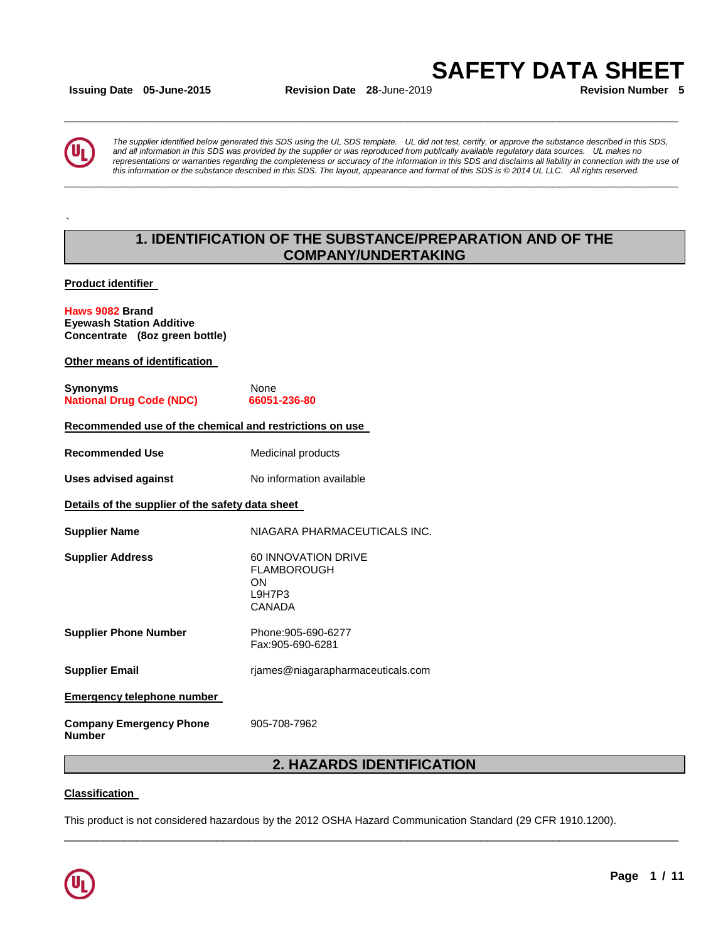**Issuing Date 05-June-2015 Revision Date 28**-June-2019 **Revision Number 5**

**\_\_\_\_\_\_\_\_\_\_\_\_\_\_\_\_\_\_\_\_\_\_\_\_\_\_\_\_\_\_\_\_\_\_\_\_\_\_\_\_\_\_\_\_\_\_\_\_\_\_\_\_\_\_\_\_\_\_\_\_\_\_\_\_\_\_\_\_\_\_\_\_\_\_\_\_\_\_\_\_\_\_\_\_\_\_\_\_\_\_\_\_\_** 

**\_\_\_\_\_\_\_\_\_\_\_\_\_\_\_\_\_\_\_\_\_\_\_\_\_\_\_\_\_\_\_\_\_\_\_\_\_\_\_\_\_\_\_\_\_\_\_\_\_\_\_\_\_\_\_\_\_\_\_\_\_\_\_\_\_\_\_\_\_\_\_\_\_\_\_\_\_\_\_\_\_\_\_\_\_\_\_\_\_\_\_\_\_** 

**SAFETY DATA SHEET** 



**`**

*The supplier identified below generated this SDS using the UL SDS template. UL did not test, certify, or approve the substance described in this SDS, and all information in this SDS was provided by the supplier or was reproduced from publically available regulatory data sources. UL makes no representations or warranties regarding the completeness or accuracy of the information in this SDS and disclaims all liability in connection with the use of this information or the substance described in this SDS. The layout, appearance and format of this SDS is © 2014 UL LLC. All rights reserved.* 

# **1. IDENTIFICATION OF THE SUBSTANCE/PREPARATION AND OF THE COMPANY/UNDERTAKING**

**Product identifier** 

#### **Haws 9082 Brand Eyewash Station Additive Concentrate (8oz green bottle)**

**Other means of identification** 

| Synonyms                        | None         |
|---------------------------------|--------------|
| <b>National Drug Code (NDC)</b> | 66051-236-80 |

#### **Recommended use of the chemical and restrictions on use**

**Recommended Use**  Medicinal products

**Uses advised against No information available** 

**Details of the supplier of the safety data sheet** 

**Supplier Name NIAGARA PHARMACEUTICALS INC. Supplier Address** 60 INNOVATION DRIVE FLAMBOROUGH ON L9H7P3

**Supplier Phone Number** Phone:905-690-6277 Fax:905-690-6281

**Supplier Email** rjames@niagarapharmaceuticals.com

CANADA

**Emergency telephone number** 

**Company Emergency Phone Number**  905-708-7962

# **2. HAZARDS IDENTIFICATION**

\_\_\_\_\_\_\_\_\_\_\_\_\_\_\_\_\_\_\_\_\_\_\_\_\_\_\_\_\_\_\_\_\_\_\_\_\_\_\_\_\_\_\_\_\_\_\_\_\_\_\_\_\_\_\_\_\_\_\_\_\_\_\_\_\_\_\_\_\_\_\_\_\_\_\_\_\_\_\_\_\_\_\_\_\_\_\_\_\_\_\_\_\_

### **Classification**

This product is not considered hazardous by the 2012 OSHA Hazard Communication Standard (29 CFR 1910.1200).

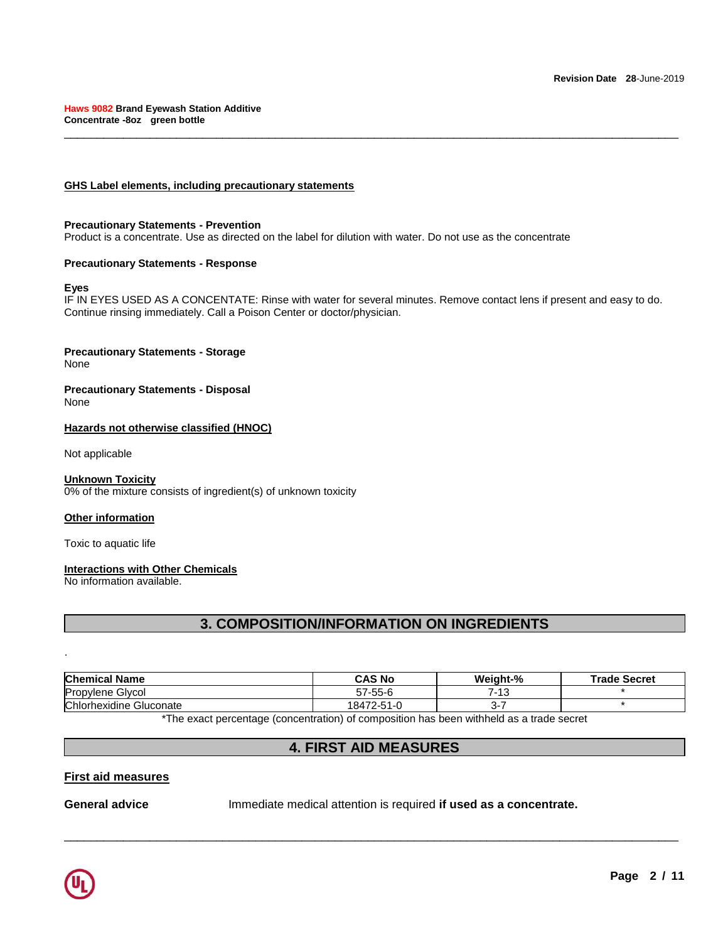### **GHS Label elements, including precautionary statements**

#### **Precautionary Statements - Prevention**

Product is a concentrate. Use as directed on the label for dilution with water. Do not use as the concentrate

### **Precautionary Statements - Response**

### **Eyes**

IF IN EYES USED AS A CONCENTATE: Rinse with water for several minutes. Remove contact lens if present and easy to do. Continue rinsing immediately. Call a Poison Center or doctor/physician.

\_\_\_\_\_\_\_\_\_\_\_\_\_\_\_\_\_\_\_\_\_\_\_\_\_\_\_\_\_\_\_\_\_\_\_\_\_\_\_\_\_\_\_\_\_\_\_\_\_\_\_\_\_\_\_\_\_\_\_\_\_\_\_\_\_\_\_\_\_\_\_\_\_\_\_\_\_\_\_\_\_\_\_\_\_\_\_\_\_\_\_\_\_

# **Precautionary Statements - Storage**

None

#### **Precautionary Statements - Disposal** None

### **Hazards not otherwise classified (HNOC)**

Not applicable

### **Unknown Toxicity**

0% of the mixture consists of ingredient(s) of unknown toxicity

### **Other information**

Toxic to aquatic life

### **Interactions with Other Chemicals**

No information available.

# **3. COMPOSITION/INFORMATION ON INGREDIENTS**

| <b>Chemical Name</b>    | <b>CAS No</b> | Weight-%    | <b>Trade Secret</b> |
|-------------------------|---------------|-------------|---------------------|
| <b>Propylene Glycol</b> | 57-55-6       | 7-13<br>د ا |                     |
| Chlorhexidine Gluconate | 18472-51-0    | -د          |                     |

\*The exact percentage (concentration) of composition has been withheld as a trade secret

# **4. FIRST AID MEASURES**

\_\_\_\_\_\_\_\_\_\_\_\_\_\_\_\_\_\_\_\_\_\_\_\_\_\_\_\_\_\_\_\_\_\_\_\_\_\_\_\_\_\_\_\_\_\_\_\_\_\_\_\_\_\_\_\_\_\_\_\_\_\_\_\_\_\_\_\_\_\_\_\_\_\_\_\_\_\_\_\_\_\_\_\_\_\_\_\_\_\_\_\_\_

### **First aid measures**

**General advice** Immediate medical attention is required **if used as a concentrate.**



.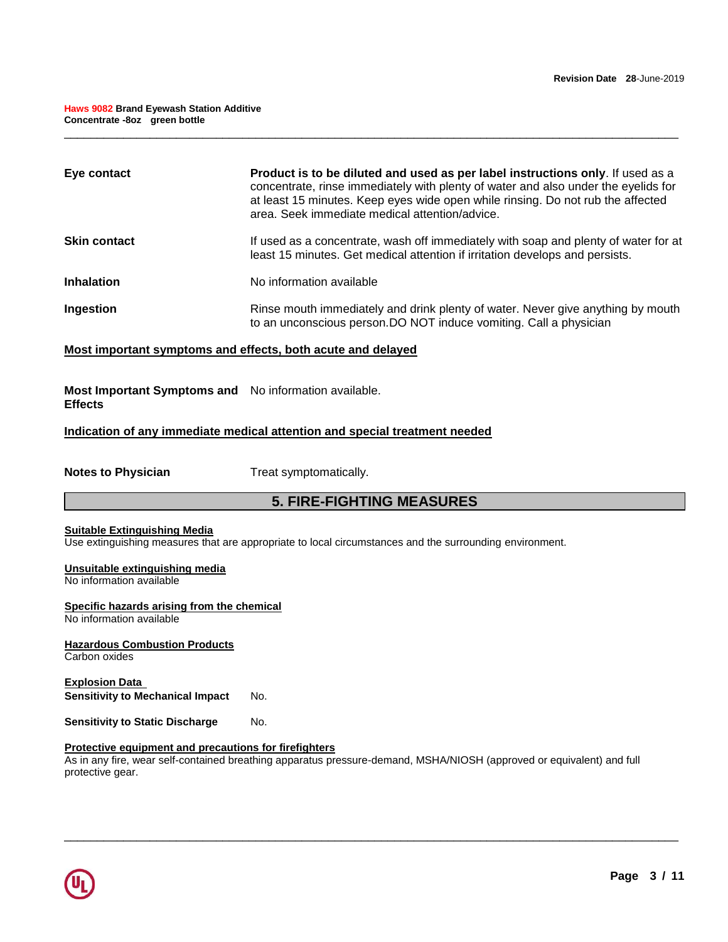| Eye contact         | Product is to be diluted and used as per label instructions only. If used as a<br>concentrate, rinse immediately with plenty of water and also under the eyelids for<br>at least 15 minutes. Keep eyes wide open while rinsing. Do not rub the affected<br>area. Seek immediate medical attention/advice. |
|---------------------|-----------------------------------------------------------------------------------------------------------------------------------------------------------------------------------------------------------------------------------------------------------------------------------------------------------|
| <b>Skin contact</b> | If used as a concentrate, wash off immediately with soap and plenty of water for at<br>least 15 minutes. Get medical attention if irritation develops and persists.                                                                                                                                       |
| <b>Inhalation</b>   | No information available                                                                                                                                                                                                                                                                                  |
| Ingestion           | Rinse mouth immediately and drink plenty of water. Never give anything by mouth<br>to an unconscious person. DO NOT induce vomiting. Call a physician                                                                                                                                                     |

\_\_\_\_\_\_\_\_\_\_\_\_\_\_\_\_\_\_\_\_\_\_\_\_\_\_\_\_\_\_\_\_\_\_\_\_\_\_\_\_\_\_\_\_\_\_\_\_\_\_\_\_\_\_\_\_\_\_\_\_\_\_\_\_\_\_\_\_\_\_\_\_\_\_\_\_\_\_\_\_\_\_\_\_\_\_\_\_\_\_\_\_\_

### **Most important symptoms and effects, both acute and delayed**

**Most Important Symptoms and**  No information available. **Effects** 

### **Indication of any immediate medical attention and special treatment needed**

**Notes to Physician**  Treat symptomatically.

# **5. FIRE-FIGHTING MEASURES**

#### **Suitable Extinguishing Media**

Use extinguishing measures that are appropriate to local circumstances and the surrounding environment.

#### **Unsuitable extinguishing media** No information available

# **Specific hazards arising from the chemical**

No information available

**Hazardous Combustion Products** Carbon oxides

**Explosion Data Sensitivity to Mechanical Impact No.** 

**Sensitivity to Static Discharge Mo.** 

### **Protective equipment and precautions for firefighters**

As in any fire, wear self-contained breathing apparatus pressure-demand, MSHA/NIOSH (approved or equivalent) and full protective gear.

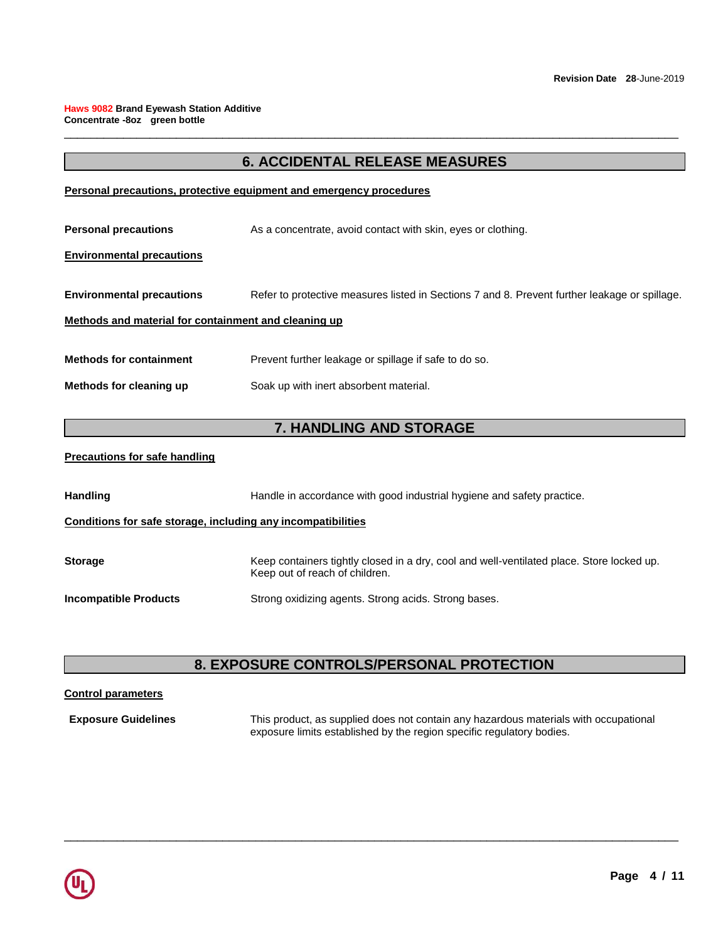# **6. ACCIDENTAL RELEASE MEASURES**

\_\_\_\_\_\_\_\_\_\_\_\_\_\_\_\_\_\_\_\_\_\_\_\_\_\_\_\_\_\_\_\_\_\_\_\_\_\_\_\_\_\_\_\_\_\_\_\_\_\_\_\_\_\_\_\_\_\_\_\_\_\_\_\_\_\_\_\_\_\_\_\_\_\_\_\_\_\_\_\_\_\_\_\_\_\_\_\_\_\_\_\_\_

### **Personal precautions, protective equipment and emergency procedures**

**Personal precautions As a concentrate, avoid contact with skin, eyes or clothing.** 

### **Environmental precautions**

**Environmental precautions** Refer to protective measures listed in Sections 7 and 8. Prevent further leakage or spillage.

### **Methods and material for containment and cleaning up**

**Methods for containment** Prevent further leakage or spillage if safe to do so.

**Methods for cleaning up Soak up with inert absorbent material.** 

# **7. HANDLING AND STORAGE**

### **Precautions for safe handling**

| <b>Handling</b>                                              | Handle in accordance with good industrial hygiene and safety practice.                                                      |  |
|--------------------------------------------------------------|-----------------------------------------------------------------------------------------------------------------------------|--|
| Conditions for safe storage, including any incompatibilities |                                                                                                                             |  |
| <b>Storage</b>                                               | Keep containers tightly closed in a dry, cool and well-ventilated place. Store locked up.<br>Keep out of reach of children. |  |
| <b>Incompatible Products</b>                                 | Strong oxidizing agents. Strong acids. Strong bases.                                                                        |  |

# **8. EXPOSURE CONTROLS/PERSONAL PROTECTION**

\_\_\_\_\_\_\_\_\_\_\_\_\_\_\_\_\_\_\_\_\_\_\_\_\_\_\_\_\_\_\_\_\_\_\_\_\_\_\_\_\_\_\_\_\_\_\_\_\_\_\_\_\_\_\_\_\_\_\_\_\_\_\_\_\_\_\_\_\_\_\_\_\_\_\_\_\_\_\_\_\_\_\_\_\_\_\_\_\_\_\_\_\_

### **Control parameters**

**Exposure Guidelines** This product, as supplied does not contain any hazardous materials with occupational exposure limits established by the region specific regulatory bodies.

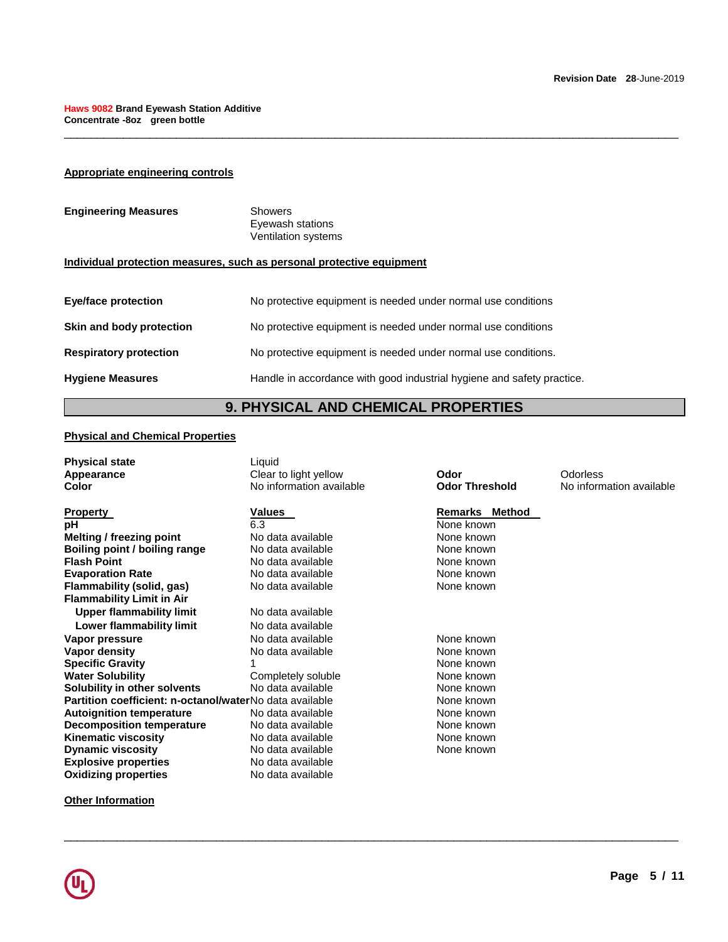### **Appropriate engineering controls**

| <b>Engineering Measures</b> | Showers<br>Eyewash stations<br>Ventilation systems |
|-----------------------------|----------------------------------------------------|
|                             |                                                    |

### **Individual protection measures, such as personal protective equipment**

| <b>Eye/face protection</b>      | No protective equipment is needed under normal use conditions          |
|---------------------------------|------------------------------------------------------------------------|
| <b>Skin and body protection</b> | No protective equipment is needed under normal use conditions          |
| <b>Respiratory protection</b>   | No protective equipment is needed under normal use conditions.         |
| <b>Hygiene Measures</b>         | Handle in accordance with good industrial hygiene and safety practice. |

# **9. PHYSICAL AND CHEMICAL PROPERTIES**

\_\_\_\_\_\_\_\_\_\_\_\_\_\_\_\_\_\_\_\_\_\_\_\_\_\_\_\_\_\_\_\_\_\_\_\_\_\_\_\_\_\_\_\_\_\_\_\_\_\_\_\_\_\_\_\_\_\_\_\_\_\_\_\_\_\_\_\_\_\_\_\_\_\_\_\_\_\_\_\_\_\_\_\_\_\_\_\_\_\_\_\_\_

### **Physical and Chemical Properties**

| <b>Physical state</b><br>Appearance                     | Liquid<br>Clear to light yellow | Odor                  | Odorless                 |
|---------------------------------------------------------|---------------------------------|-----------------------|--------------------------|
| Color                                                   | No information available        | <b>Odor Threshold</b> | No information available |
| <b>Property</b>                                         | Values                          | Remarks Method        |                          |
| рH                                                      | 6.3                             | None known            |                          |
| Melting / freezing point                                | No data available               | None known            |                          |
| Boiling point / boiling range                           | No data available               | None known            |                          |
| <b>Flash Point</b>                                      | No data available               | None known            |                          |
| <b>Evaporation Rate</b>                                 | No data available               | None known            |                          |
| Flammability (solid, gas)                               | No data available               | None known            |                          |
| <b>Flammability Limit in Air</b>                        |                                 |                       |                          |
| <b>Upper flammability limit</b>                         | No data available               |                       |                          |
| Lower flammability limit                                | No data available               |                       |                          |
| Vapor pressure                                          | No data available               | None known            |                          |
| Vapor density                                           | No data available               | None known            |                          |
| <b>Specific Gravity</b>                                 |                                 | None known            |                          |
| <b>Water Solubility</b>                                 | Completely soluble              | None known            |                          |
| Solubility in other solvents                            | No data available               | None known            |                          |
| Partition coefficient: n-octanol/waterNo data available |                                 | None known            |                          |
| <b>Autoignition temperature</b>                         | No data available               | None known            |                          |
| <b>Decomposition temperature</b>                        | No data available               | None known            |                          |
| <b>Kinematic viscosity</b>                              | No data available               | None known            |                          |
| <b>Dynamic viscosity</b>                                | No data available               | None known            |                          |
| <b>Explosive properties</b>                             | No data available               |                       |                          |
| <b>Oxidizing properties</b>                             | No data available               |                       |                          |
|                                                         |                                 |                       |                          |

\_\_\_\_\_\_\_\_\_\_\_\_\_\_\_\_\_\_\_\_\_\_\_\_\_\_\_\_\_\_\_\_\_\_\_\_\_\_\_\_\_\_\_\_\_\_\_\_\_\_\_\_\_\_\_\_\_\_\_\_\_\_\_\_\_\_\_\_\_\_\_\_\_\_\_\_\_\_\_\_\_\_\_\_\_\_\_\_\_\_\_\_\_

**Other Information**

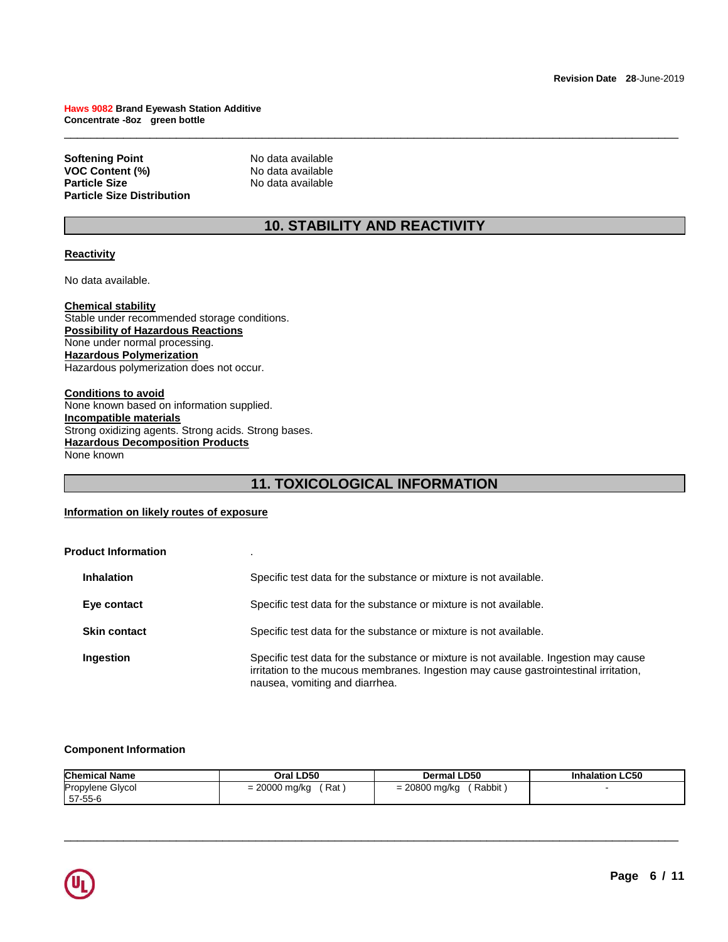**Softening Point No data available**<br> **VOC Content (%)** No data available **VOC Content (%)**<br>Particle Size **Particle Size Distribution** 

**Particle Size** No data available

# **10. STABILITY AND REACTIVITY**

\_\_\_\_\_\_\_\_\_\_\_\_\_\_\_\_\_\_\_\_\_\_\_\_\_\_\_\_\_\_\_\_\_\_\_\_\_\_\_\_\_\_\_\_\_\_\_\_\_\_\_\_\_\_\_\_\_\_\_\_\_\_\_\_\_\_\_\_\_\_\_\_\_\_\_\_\_\_\_\_\_\_\_\_\_\_\_\_\_\_\_\_\_

### **Reactivity**

No data available.

**Chemical stability** Stable under recommended storage conditions. **Possibility of Hazardous Reactions** None under normal processing. **Hazardous Polymerization** Hazardous polymerization does not occur.

**Conditions to avoid** None known based on information supplied. **Incompatible materials** Strong oxidizing agents. Strong acids. Strong bases. **Hazardous Decomposition Products** None known

# **11. TOXICOLOGICAL INFORMATION**

### **Information on likely routes of exposure**

| <b>Product Information</b> |                                                                                                                                                                                                                 |
|----------------------------|-----------------------------------------------------------------------------------------------------------------------------------------------------------------------------------------------------------------|
| <b>Inhalation</b>          | Specific test data for the substance or mixture is not available.                                                                                                                                               |
| Eye contact                | Specific test data for the substance or mixture is not available.                                                                                                                                               |
| <b>Skin contact</b>        | Specific test data for the substance or mixture is not available.                                                                                                                                               |
| Ingestion                  | Specific test data for the substance or mixture is not available. Ingestion may cause<br>irritation to the mucous membranes. Ingestion may cause gastrointestinal irritation,<br>nausea, vomiting and diarrhea. |

#### **Component Information**

| <b>Chemical Name</b> | Oral LD50     | Dermal LD50     | <b>Inhalation LC50</b> |
|----------------------|---------------|-----------------|------------------------|
| Propylene Glycol     | = 20000 mg/kg | Rabbit          |                        |
| 57-55-6              | ʿRat          | $= 20800$ mg/kg |                        |

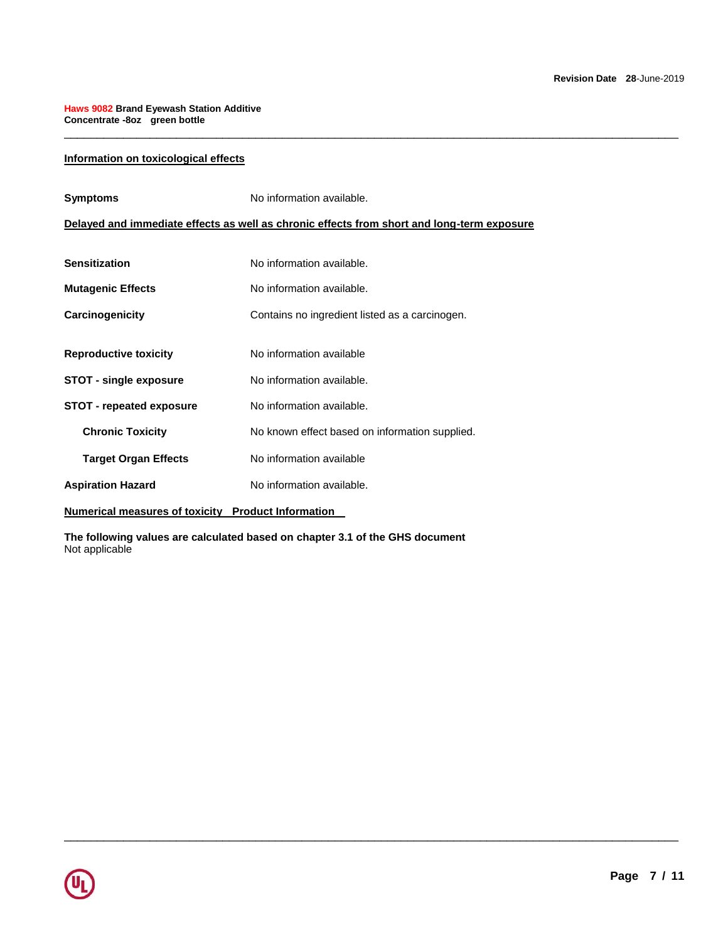### **Information on toxicological effects**

| Delayed and immediate effects as well as chronic effects from short and long-term exposure<br><b>Sensitization</b><br>No information available.<br>No information available.<br><b>Mutagenic Effects</b><br>Carcinogenicity<br>Contains no ingredient listed as a carcinogen.<br>No information available<br><b>Reproductive toxicity</b><br><b>STOT - single exposure</b><br>No information available.<br><b>STOT - repeated exposure</b><br>No information available.<br><b>Chronic Toxicity</b><br>No known effect based on information supplied.<br>No information available<br><b>Target Organ Effects</b><br>No information available.<br><b>Aspiration Hazard</b> | <b>Symptoms</b> | No information available. |  |
|--------------------------------------------------------------------------------------------------------------------------------------------------------------------------------------------------------------------------------------------------------------------------------------------------------------------------------------------------------------------------------------------------------------------------------------------------------------------------------------------------------------------------------------------------------------------------------------------------------------------------------------------------------------------------|-----------------|---------------------------|--|
|                                                                                                                                                                                                                                                                                                                                                                                                                                                                                                                                                                                                                                                                          |                 |                           |  |
|                                                                                                                                                                                                                                                                                                                                                                                                                                                                                                                                                                                                                                                                          |                 |                           |  |
|                                                                                                                                                                                                                                                                                                                                                                                                                                                                                                                                                                                                                                                                          |                 |                           |  |
|                                                                                                                                                                                                                                                                                                                                                                                                                                                                                                                                                                                                                                                                          |                 |                           |  |
|                                                                                                                                                                                                                                                                                                                                                                                                                                                                                                                                                                                                                                                                          |                 |                           |  |
|                                                                                                                                                                                                                                                                                                                                                                                                                                                                                                                                                                                                                                                                          |                 |                           |  |
|                                                                                                                                                                                                                                                                                                                                                                                                                                                                                                                                                                                                                                                                          |                 |                           |  |
|                                                                                                                                                                                                                                                                                                                                                                                                                                                                                                                                                                                                                                                                          |                 |                           |  |
|                                                                                                                                                                                                                                                                                                                                                                                                                                                                                                                                                                                                                                                                          |                 |                           |  |
|                                                                                                                                                                                                                                                                                                                                                                                                                                                                                                                                                                                                                                                                          |                 |                           |  |

\_\_\_\_\_\_\_\_\_\_\_\_\_\_\_\_\_\_\_\_\_\_\_\_\_\_\_\_\_\_\_\_\_\_\_\_\_\_\_\_\_\_\_\_\_\_\_\_\_\_\_\_\_\_\_\_\_\_\_\_\_\_\_\_\_\_\_\_\_\_\_\_\_\_\_\_\_\_\_\_\_\_\_\_\_\_\_\_\_\_\_\_\_

\_\_\_\_\_\_\_\_\_\_\_\_\_\_\_\_\_\_\_\_\_\_\_\_\_\_\_\_\_\_\_\_\_\_\_\_\_\_\_\_\_\_\_\_\_\_\_\_\_\_\_\_\_\_\_\_\_\_\_\_\_\_\_\_\_\_\_\_\_\_\_\_\_\_\_\_\_\_\_\_\_\_\_\_\_\_\_\_\_\_\_\_\_

**Numerical measures of toxicity Product Information** 

**The following values are calculated based on chapter 3.1 of the GHS document** Not applicable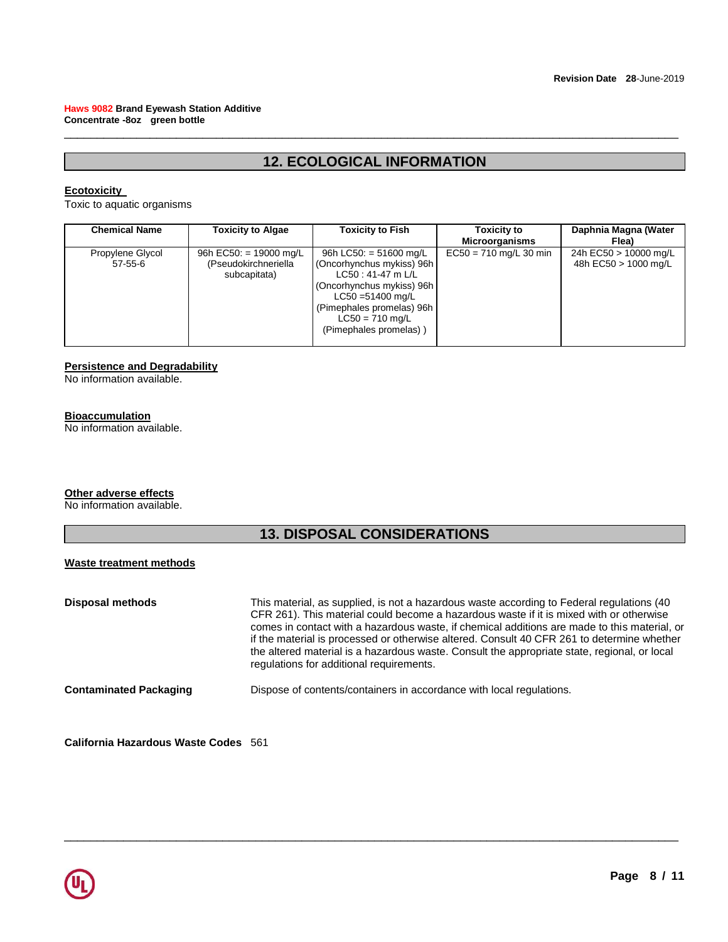# **12. ECOLOGICAL INFORMATION**

\_\_\_\_\_\_\_\_\_\_\_\_\_\_\_\_\_\_\_\_\_\_\_\_\_\_\_\_\_\_\_\_\_\_\_\_\_\_\_\_\_\_\_\_\_\_\_\_\_\_\_\_\_\_\_\_\_\_\_\_\_\_\_\_\_\_\_\_\_\_\_\_\_\_\_\_\_\_\_\_\_\_\_\_\_\_\_\_\_\_\_\_\_

### **Ecotoxicity**

Toxic to aquatic organisms

| <b>Chemical Name</b>        | <b>Toxicity to Algae</b>                                       | <b>Toxicity to Fish</b>                                                                                                                                                                                    | Toxicity to<br><b>Microorganisms</b> | Daphnia Magna (Water<br>Flea)                 |
|-----------------------------|----------------------------------------------------------------|------------------------------------------------------------------------------------------------------------------------------------------------------------------------------------------------------------|--------------------------------------|-----------------------------------------------|
| Propylene Glycol<br>57-55-6 | 96h EC50: = 19000 mg/L<br>(Pseudokirchneriella<br>subcapitata) | 96h LC50: $=$ 51600 mg/L<br>(Oncorhynchus mykiss) 96h<br>LC50: 41-47 m L/L<br>(Oncorhynchus mykiss) 96h<br>$LC50 = 51400$ mg/L<br>(Pimephales promelas) 96h<br>$LC50 = 710$ mg/L<br>(Pimephales promelas)) | $EC50 = 710$ mg/L 30 min             | 24h EC50 > 10000 mg/L<br>48h EC50 > 1000 mg/L |

### **Persistence and Degradability**

No information available.

### **Bioaccumulation**

No information available.

### **Other adverse effects**

No information available.

# **13. DISPOSAL CONSIDERATIONS**

### **Waste treatment methods**

| <b>Disposal methods</b>       | This material, as supplied, is not a hazardous waste according to Federal regulations (40)<br>CFR 261). This material could become a hazardous waste if it is mixed with or otherwise<br>comes in contact with a hazardous waste, if chemical additions are made to this material, or<br>if the material is processed or otherwise altered. Consult 40 CFR 261 to determine whether<br>the altered material is a hazardous waste. Consult the appropriate state, regional, or local<br>regulations for additional requirements. |
|-------------------------------|---------------------------------------------------------------------------------------------------------------------------------------------------------------------------------------------------------------------------------------------------------------------------------------------------------------------------------------------------------------------------------------------------------------------------------------------------------------------------------------------------------------------------------|
| <b>Contaminated Packaging</b> | Dispose of contents/containers in accordance with local regulations.                                                                                                                                                                                                                                                                                                                                                                                                                                                            |
|                               |                                                                                                                                                                                                                                                                                                                                                                                                                                                                                                                                 |

\_\_\_\_\_\_\_\_\_\_\_\_\_\_\_\_\_\_\_\_\_\_\_\_\_\_\_\_\_\_\_\_\_\_\_\_\_\_\_\_\_\_\_\_\_\_\_\_\_\_\_\_\_\_\_\_\_\_\_\_\_\_\_\_\_\_\_\_\_\_\_\_\_\_\_\_\_\_\_\_\_\_\_\_\_\_\_\_\_\_\_\_\_

**California Hazardous Waste Codes** 561

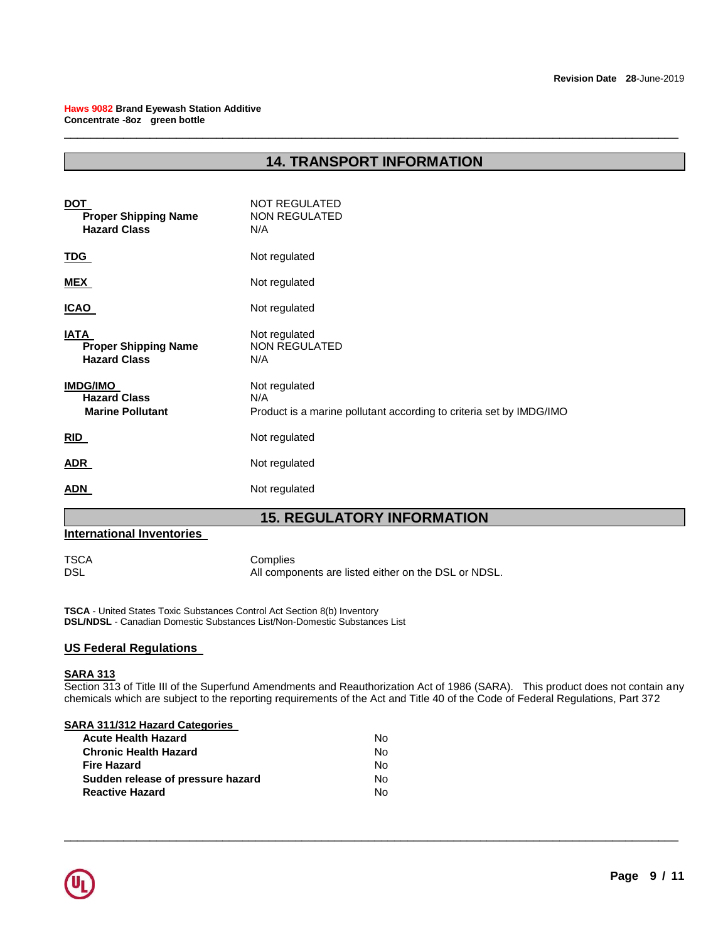# **14. TRANSPORT INFORMATION**

\_\_\_\_\_\_\_\_\_\_\_\_\_\_\_\_\_\_\_\_\_\_\_\_\_\_\_\_\_\_\_\_\_\_\_\_\_\_\_\_\_\_\_\_\_\_\_\_\_\_\_\_\_\_\_\_\_\_\_\_\_\_\_\_\_\_\_\_\_\_\_\_\_\_\_\_\_\_\_\_\_\_\_\_\_\_\_\_\_\_\_\_\_

| <b>DOT</b><br><b>Proper Shipping Name</b><br><b>Hazard Class</b>  | <b>NOT REGULATED</b><br><b>NON REGULATED</b><br>N/A                                         |
|-------------------------------------------------------------------|---------------------------------------------------------------------------------------------|
| <u>TDG</u>                                                        | Not regulated                                                                               |
| <u>MEX</u>                                                        | Not regulated                                                                               |
| <b>ICAO</b>                                                       | Not regulated                                                                               |
| <b>IATA</b><br><b>Proper Shipping Name</b><br><b>Hazard Class</b> | Not regulated<br><b>NON REGULATED</b><br>N/A                                                |
| <b>IMDG/IMO</b><br><b>Hazard Class</b><br><b>Marine Pollutant</b> | Not regulated<br>N/A<br>Product is a marine pollutant according to criteria set by IMDG/IMO |
| <b>RID</b>                                                        | Not regulated                                                                               |
| <b>ADR</b>                                                        | Not regulated                                                                               |
| <b>ADN</b>                                                        | Not regulated                                                                               |

# **15. REGULATORY INFORMATION**

### **International Inventories**

TSCA Complies All components are listed either on the DSL or NDSL.

**TSCA** - United States Toxic Substances Control Act Section 8(b) Inventory **DSL/NDSL** - Canadian Domestic Substances List/Non-Domestic Substances List

### **US Federal Regulations**

### **SARA 313**

Section 313 of Title III of the Superfund Amendments and Reauthorization Act of 1986 (SARA). This product does not contain any chemicals which are subject to the reporting requirements of the Act and Title 40 of the Code of Federal Regulations, Part 372

| N٥ |
|----|
| N٥ |
| N٥ |
| N٥ |
| N٥ |
|    |

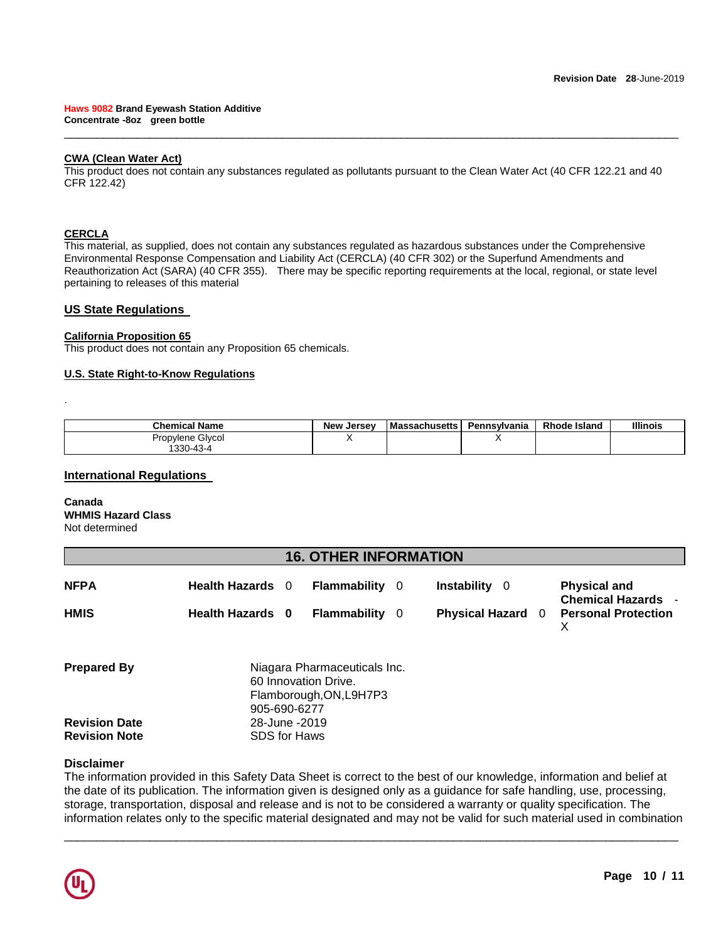### **CWA (Clean Water Act)**

This product does not contain any substances regulated as pollutants pursuant to the Clean Water Act (40 CFR 122.21 and 40 CFR 122.42)

\_\_\_\_\_\_\_\_\_\_\_\_\_\_\_\_\_\_\_\_\_\_\_\_\_\_\_\_\_\_\_\_\_\_\_\_\_\_\_\_\_\_\_\_\_\_\_\_\_\_\_\_\_\_\_\_\_\_\_\_\_\_\_\_\_\_\_\_\_\_\_\_\_\_\_\_\_\_\_\_\_\_\_\_\_\_\_\_\_\_\_\_\_

### **CERCLA**

.

This material, as supplied, does not contain any substances regulated as hazardous substances under the Comprehensive Environmental Response Compensation and Liability Act (CERCLA) (40 CFR 302) or the Superfund Amendments and Reauthorization Act (SARA) (40 CFR 355). There may be specific reporting requirements at the local, regional, or state level pertaining to releases of this material

### **US State Regulations**

### **California Proposition 65**

This product does not contain any Proposition 65 chemicals.

### **U.S. State Right-to-Know Regulations**

| <b>Chemical Name</b> | <b>New Jersey</b> | <b>Massachusetts</b> | Pennsvlvania | <b>Rhode Island</b> | <b>Illinois</b> |
|----------------------|-------------------|----------------------|--------------|---------------------|-----------------|
| Propylene Glycol     |                   |                      |              |                     |                 |
| 1330-43-4            |                   |                      |              |                     |                 |

### **International Regulations**

**Canada WHMIS Hazard Class** Not determined

# **16. OTHER INFORMATION**

| <b>NFPA</b> | <b>Health Hazards</b> | <b>Flammability</b> | - 0 | <b>Instability</b> 0 | <b>Physical and</b><br><b>Chemical Hazards -</b> |
|-------------|-----------------------|---------------------|-----|----------------------|--------------------------------------------------|
| <b>HMIS</b> | Health Hazards 0      | <b>Flammability</b> |     |                      | <b>Physical Hazard 0 Personal Protection</b>     |

| <b>Prepared By</b>   | Niagara Pharmaceuticals Inc. |
|----------------------|------------------------------|
|                      | 60 Innovation Drive.         |
|                      | Flamborough, ON, L9H7P3      |
|                      | 905-690-6277                 |
| <b>Revision Date</b> | 28-June - 2019               |
| <b>Revision Note</b> | <b>SDS for Haws</b>          |

### **Disclaimer**

The information provided in this Safety Data Sheet is correct to the best of our knowledge, information and belief at the date of its publication. The information given is designed only as a guidance for safe handling, use, processing, storage, transportation, disposal and release and is not to be considered a warranty or quality specification. The information relates only to the specific material designated and may not be valid for such material used in combination